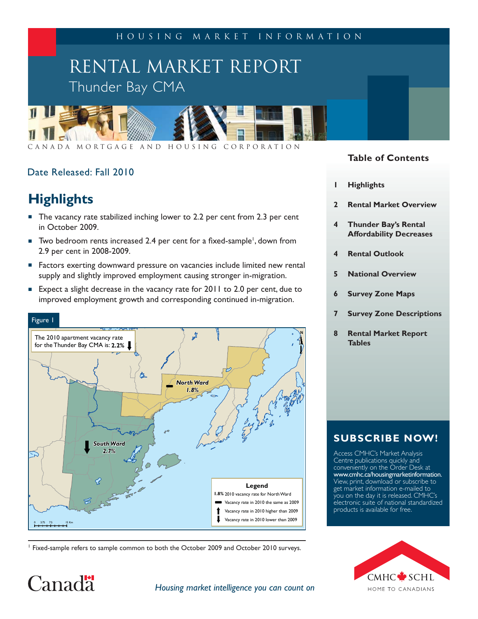Housing Market Information

# RENTAL MARKET REPORT Thunder Bay CMA



Canada Mortgage and Housing Corporation

# Date Released: Fall 2010

# **Highlights**

Canad<sup>"</sup>

- The vacancy rate stabilized inching lower to 2.2 per cent from 2.3 per cent in October 2009.
- $\blacksquare$  Two bedroom rents increased 2.4 per cent for a fixed-sample<sup>1</sup>, down from 2.9 per cent in 2008-2009.
- **Factors exerting downward pressure on vacancies include limited new rental** supply and slightly improved employment causing stronger in-migration.
- Expect a slight decrease in the vacancy rate for 2011 to 2.0 per cent, due to improved employment growth and corresponding continued in-migration.



<sup>1</sup> Fixed-sample refers to sample common to both the October 2009 and October 2010 surveys.

# **Table of Contents**

- **1 Highlights**
- **2 Rental Market Overview**
- **4 Thunder Bay's Rental Affordability Decreases**
- **4 Rental Outlook**
- **5 National Overview**
- **6 Survey Zone Maps**
- **7 Survey Zone Descriptions**
- **8 Rental Market Report Tables**

# **SUBSCRIBE NOW!**

Access CMHC's Market Analysis Centre publications quickly and conveniently on the Order Desk at www.cmhc.ca/housingmarketinformation. View, print, download or subscribe to get market information e-mailed to you on the day it is released. CMHC's electronic suite of national standardized products is available for free.



### *Housing market intelligence you can count on*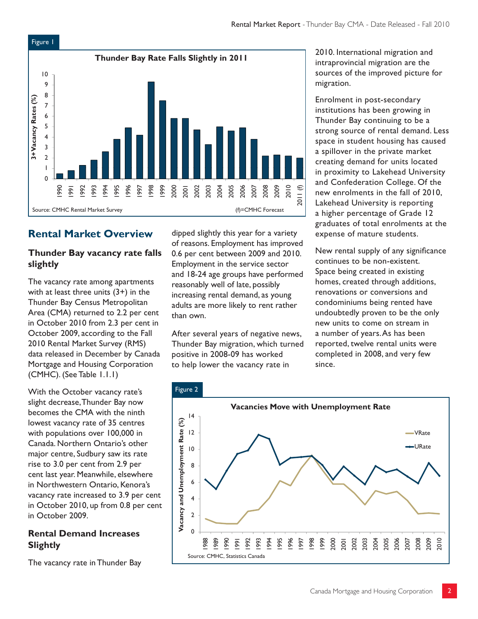

# **Rental Market Overview**

# **Thunder Bay vacancy rate falls slightly**

The vacancy rate among apartments with at least three units  $(3+)$  in the Thunder Bay Census Metropolitan Area (CMA) returned to 2.2 per cent in October 2010 from 2.3 per cent in October 2009, according to the Fall 2010 Rental Market Survey (RMS) data released in December by Canada Mortgage and Housing Corporation (CMHC). (See Table 1.1.1)

With the October vacancy rate's slight decrease, Thunder Bay now becomes the CMA with the ninth lowest vacancy rate of 35 centres with populations over 100,000 in Canada. Northern Ontario's other major centre, Sudbury saw its rate rise to 3.0 per cent from 2.9 per cent last year. Meanwhile, elsewhere in Northwestern Ontario, Kenora's vacancy rate increased to 3.9 per cent in October 2010, up from 0.8 per cent in October 2009.

# **Rental Demand Increases Slightly**

The vacancy rate in Thunder Bay

dipped slightly this year for a variety of reasons. Employment has improved 0.6 per cent between 2009 and 2010. Employment in the service sector and 18-24 age groups have performed reasonably well of late, possibly increasing rental demand, as young adults are more likely to rent rather than own.

After several years of negative news, Thunder Bay migration, which turned positive in 2008-09 has worked to help lower the vacancy rate in

2010. International migration and intraprovincial migration are the sources of the improved picture for migration.

Enrolment in post-secondary institutions has been growing in Thunder Bay continuing to be a strong source of rental demand. Less space in student housing has caused a spillover in the private market creating demand for units located in proximity to Lakehead University and Confederation College. Of the new enrolments in the fall of 2010, Lakehead University is reporting a higher percentage of Grade 12 graduates of total enrolments at the expense of mature students.

New rental supply of any significance continues to be non-existent. Space being created in existing homes, created through additions, renovations or conversions and condominiums being rented have undoubtedly proven to be the only new units to come on stream in a number of years. As has been reported, twelve rental units were completed in 2008, and very few since.

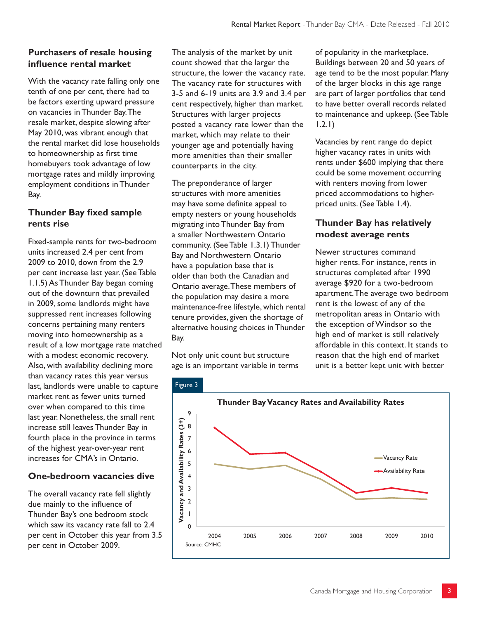# **Purchasers of resale housing infl uence rental market**

With the vacancy rate falling only one tenth of one per cent, there had to be factors exerting upward pressure on vacancies in Thunder Bay. The resale market, despite slowing after May 2010, was vibrant enough that the rental market did lose households to homeownership as first time homebuyers took advantage of low mortgage rates and mildly improving employment conditions in Thunder Bay.

## **Thunder Bay fixed sample rents rise**

Fixed-sample rents for two-bedroom units increased 2.4 per cent from 2009 to 2010, down from the 2.9 per cent increase last year. (See Table 1.1.5) As Thunder Bay began coming out of the downturn that prevailed in 2009, some landlords might have suppressed rent increases following concerns pertaining many renters moving into homeownership as a result of a low mortgage rate matched with a modest economic recovery. Also, with availability declining more than vacancy rates this year versus last, landlords were unable to capture market rent as fewer units turned over when compared to this time last year. Nonetheless, the small rent increase still leaves Thunder Bay in fourth place in the province in terms of the highest year-over-year rent increases for CMA's in Ontario.

# **One-bedroom vacancies dive**

The overall vacancy rate fell slightly due mainly to the influence of Thunder Bay's one bedroom stock which saw its vacancy rate fall to 2.4 per cent in October this year from 3.5 per cent in October 2009.

The analysis of the market by unit count showed that the larger the structure, the lower the vacancy rate. The vacancy rate for structures with 3-5 and 6-19 units are 3.9 and 3.4 per cent respectively, higher than market. Structures with larger projects posted a vacancy rate lower than the market, which may relate to their younger age and potentially having more amenities than their smaller counterparts in the city.

The preponderance of larger structures with more amenities may have some definite appeal to empty nesters or young households migrating into Thunder Bay from a smaller Northwestern Ontario community. (See Table 1.3.1) Thunder Bay and Northwestern Ontario have a population base that is older than both the Canadian and Ontario average. These members of the population may desire a more maintenance-free lifestyle, which rental tenure provides, given the shortage of alternative housing choices in Thunder Bay.

Not only unit count but structure age is an important variable in terms of popularity in the marketplace. Buildings between 20 and 50 years of age tend to be the most popular. Many of the larger blocks in this age range are part of larger portfolios that tend to have better overall records related to maintenance and upkeep. (See Table 1.2.1)

Vacancies by rent range do depict higher vacancy rates in units with rents under \$600 implying that there could be some movement occurring with renters moving from lower priced accommodations to higherpriced units. (See Table 1.4).

# **Thunder Bay has relatively modest average rents**

Newer structures command higher rents. For instance, rents in structures completed after 1990 average \$920 for a two-bedroom apartment. The average two bedroom rent is the lowest of any of the metropolitan areas in Ontario with the exception of Windsor so the high end of market is still relatively affordable in this context. It stands to reason that the high end of market unit is a better kept unit with better

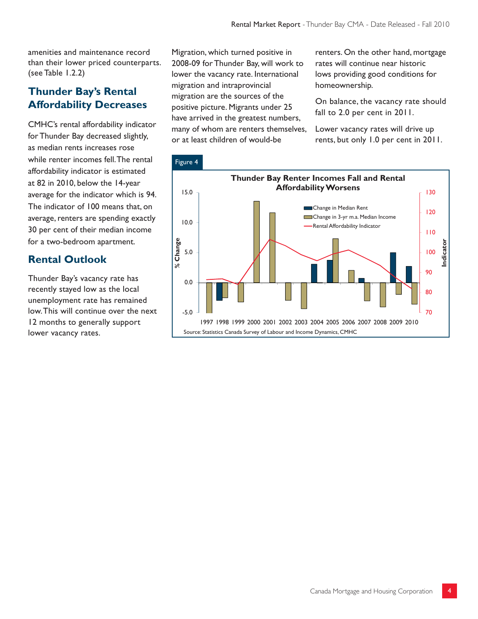amenities and maintenance record than their lower priced counterparts. (see Table 1.2.2)

# **Thunder Bay's Rental Affordability Decreases**

CMHC's rental affordability indicator for Thunder Bay decreased slightly, as median rents increases rose while renter incomes fell. The rental affordability indicator is estimated at 82 in 2010, below the 14-year average for the indicator which is 94. The indicator of 100 means that, on average, renters are spending exactly 30 per cent of their median income for a two-bedroom apartment.

# **Rental Outlook**

Thunder Bay's vacancy rate has recently stayed low as the local unemployment rate has remained low. This will continue over the next 12 months to generally support lower vacancy rates.

Migration, which turned positive in 2008-09 for Thunder Bay, will work to lower the vacancy rate. International migration and intraprovincial migration are the sources of the positive picture. Migrants under 25 have arrived in the greatest numbers, many of whom are renters themselves, or at least children of would-be

renters. On the other hand, mortgage rates will continue near historic lows providing good conditions for homeownership.

On balance, the vacancy rate should fall to 2.0 per cent in 2011.

Lower vacancy rates will drive up rents, but only 1.0 per cent in 2011.

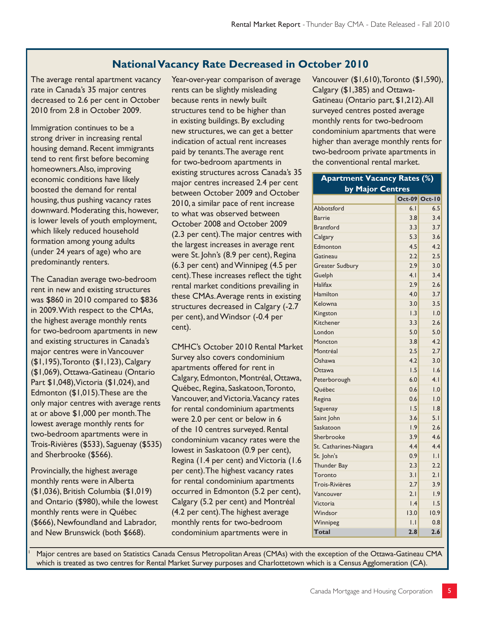# **National Vacancy Rate Decreased in October 2010**

The average rental apartment vacancy rate in Canada's 35 major centres decreased to 2.6 per cent in October 2010 from 2.8 in October 2009.

Immigration continues to be a strong driver in increasing rental housing demand. Recent immigrants tend to rent first before becoming homeowners. Also, improving economic conditions have likely boosted the demand for rental housing, thus pushing vacancy rates downward. Moderating this, however, is lower levels of youth employment, which likely reduced household formation among young adults (under 24 years of age) who are predominantly renters.

The Canadian average two-bedroom rent in new and existing structures was \$860 in 2010 compared to \$836 in 2009. With respect to the CMAs, the highest average monthly rents for two-bedroom apartments in new and existing structures in Canada's major centres were in Vancouver (\$1,195), Toronto (\$1,123), Calgary (\$1,069), Ottawa-Gatineau (Ontario Part \$1,048), Victoria (\$1,024), and Edmonton (\$1,015).These are the only major centres with average rents at or above \$1,000 per month. The lowest average monthly rents for two-bedroom apartments were in Trois-Rivières (\$533), Saguenay (\$535) and Sherbrooke (\$566).

Provincially, the highest average monthly rents were in Alberta (\$1,036), British Columbia (\$1,019) and Ontario (\$980), while the lowest monthly rents were in Québec (\$666), Newfoundland and Labrador, and New Brunswick (both \$668).

1

Year-over-year comparison of average rents can be slightly misleading because rents in newly built structures tend to be higher than in existing buildings. By excluding new structures, we can get a better indication of actual rent increases paid by tenants. The average rent for two-bedroom apartments in existing structures across Canada's 35 major centres increased 2.4 per cent between October 2009 and October 2010, a similar pace of rent increase to what was observed between October 2008 and October 2009 (2.3 per cent). The major centres with the largest increases in average rent were St. John's (8.9 per cent), Regina (6.3 per cent) and Winnipeg (4.5 per cent). These increases reflect the tight rental market conditions prevailing in these CMAs. Average rents in existing structures decreased in Calgary (-2.7 per cent), and Windsor (-0.4 per cent).

CMHC's October 2010 Rental Market Survey also covers condominium apartments offered for rent in Calgary, Edmonton, Montréal, Ottawa, Québec, Regina, Saskatoon, Toronto, Vancouver, and Victoria. Vacancy rates for rental condominium apartments were 2.0 per cent or below in 6 of the 10 centres surveyed. Rental condominium vacancy rates were the lowest in Saskatoon (0.9 per cent), Regina (1.4 per cent) and Victoria (1.6 per cent). The highest vacancy rates for rental condominium apartments occurred in Edmonton (5.2 per cent), Calgary (5.2 per cent) and Montréal (4.2 per cent). The highest average monthly rents for two-bedroom condominium apartments were in

Vancouver (\$1,610), Toronto (\$1,590), Calgary (\$1,385) and Ottawa-Gatineau (Ontario part, \$1,212). All surveyed centres posted average monthly rents for two-bedroom condominium apartments that were higher than average monthly rents for two-bedroom private apartments in the conventional rental market.

| <b>Apartment Vacancy Rates (%)</b> |                |                      |
|------------------------------------|----------------|----------------------|
| by Major Centres                   |                |                      |
|                                    |                | <b>Oct-09 Oct-10</b> |
| Abbotsford                         | 6.1            | 6.5                  |
| <b>Barrie</b>                      | 3.8            | 3.4                  |
| <b>Brantford</b>                   | 3.3            | 3.7                  |
| Calgary                            | 5.3            | 3.6                  |
| Edmonton                           | 4.5            | 4.2                  |
| Gatineau                           | 2.2            | 2.5                  |
| <b>Greater Sudbury</b>             | 2.9            | 3.0                  |
| Guelph                             | 4.1            | 3.4                  |
| Halifax                            | 2.9            | 2.6                  |
| Hamilton                           | 4.0            | 3.7                  |
| Kelowna                            | 3.0            | 3.5                  |
| Kingston                           | 1.3            | 1.0                  |
| Kitchener                          | 3.3            | 2.6                  |
| London                             | 5.0            | 5.0                  |
| Moncton                            | 3.8            | 4.2                  |
| Montréal                           | 2.5            | 2.7                  |
| Oshawa                             | 4.2            | 3.0                  |
| Ottawa                             | 1.5            | 1.6                  |
| Peterborough                       | 6.0            | 4.1                  |
| Québec                             | 0.6            | 1.0                  |
| Regina                             | 0.6            | 1.0                  |
| Saguenay                           | 1.5            | 1.8                  |
| Saint John                         | 3.6            | 5.1                  |
| Saskatoon                          | 1.9            | 2.6                  |
| Sherbrooke                         | 3.9            | 4.6                  |
| St. Catharines-Niagara             | 4.4            | 4.4                  |
| St. John's                         | 0.9            | IJ                   |
| Thunder Bay                        | 2.3            | 2.2                  |
| Toronto                            | 3.1            | 2.1                  |
| Trois-Rivières                     | 2.7            | 3.9                  |
| Vancouver                          | 2.1            | 1.9                  |
| Victoria                           | 1.4            | 1.5                  |
| Windsor                            | 13.0           | 10.9                 |
| Winnipeg                           | $\overline{L}$ | 0.8                  |
| Total                              | 2.8            | 2.6                  |

 Major centres are based on Statistics Canada Census Metropolitan Areas (CMAs) with the exception of the Ottawa-Gatineau CMA which is treated as two centres for Rental Market Survey purposes and Charlottetown which is a Census Agglomeration (CA).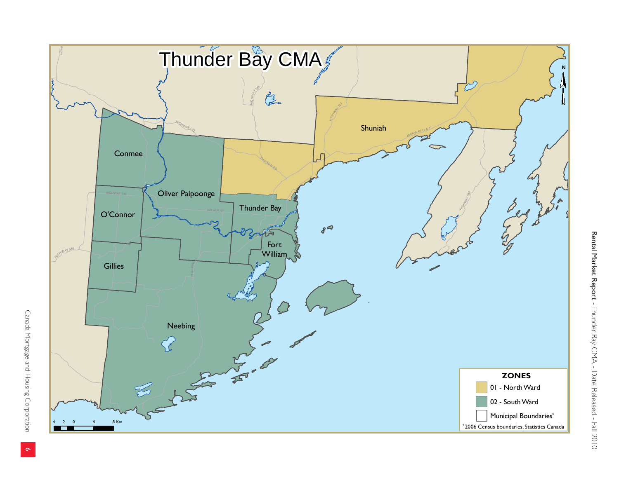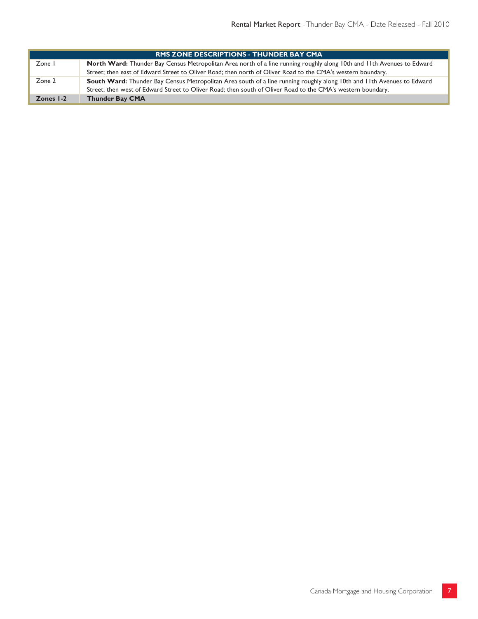|           | <b>RMS ZONE DESCRIPTIONS - THUNDER BAY CMA</b>                                                                         |
|-----------|------------------------------------------------------------------------------------------------------------------------|
| Zone I    | North Ward: Thunder Bay Census Metropolitan Area north of a line running roughly along 10th and 11th Avenues to Edward |
|           | Street; then east of Edward Street to Oliver Road; then north of Oliver Road to the CMA's western boundary.            |
| Zone 2    | South Ward: Thunder Bay Census Metropolitan Area south of a line running roughly along 10th and 11th Avenues to Edward |
|           | Street; then west of Edward Street to Oliver Road; then south of Oliver Road to the CMA's western boundary.            |
| Zones I-2 | <b>Thunder Bay CMA</b>                                                                                                 |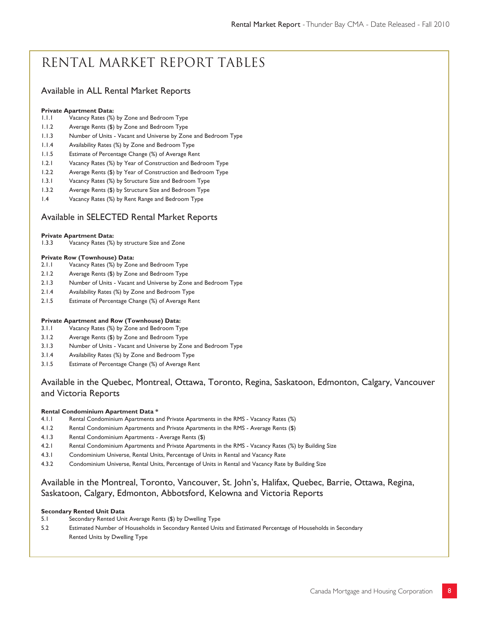# Rental Market Report Tables

### Available in ALL Rental Market Reports

#### **Private Apartment Data:**

- 1.1.1 Vacancy Rates (%) by Zone and Bedroom Type
- 1.1.2 Average Rents (\$) by Zone and Bedroom Type
- 1.1.3 Number of Units Vacant and Universe by Zone and Bedroom Type
- 1.1.4 Availability Rates (%) by Zone and Bedroom Type
- 1.1.5 Estimate of Percentage Change (%) of Average Rent
- 1.2.1 Vacancy Rates (%) by Year of Construction and Bedroom Type
- 1.2.2 Average Rents (\$) by Year of Construction and Bedroom Type
- 1.3.1 Vacancy Rates (%) by Structure Size and Bedroom Type
- 1.3.2 Average Rents (\$) by Structure Size and Bedroom Type
- 1.4 Vacancy Rates (%) by Rent Range and Bedroom Type

#### Available in SELECTED Rental Market Reports

# **Private Apartment Data:**<br>1.3.3 Vacancy Rates (%)

Vacancy Rates (%) by structure Size and Zone

#### **Private Row (Townhouse) Data:**

- 2.1.1 Vacancy Rates (%) by Zone and Bedroom Type
- 2.1.2 Average Rents (\$) by Zone and Bedroom Type
- 2.1.3 Number of Units Vacant and Universe by Zone and Bedroom Type
- 2.1.4 Availability Rates (%) by Zone and Bedroom Type
- 2.1.5 Estimate of Percentage Change (%) of Average Rent

#### **Private Apartment and Row (Townhouse) Data:**

- 3.1.1 Vacancy Rates (%) by Zone and Bedroom Type
- 3.1.2 Average Rents (\$) by Zone and Bedroom Type
- 3.1.3 Number of Units Vacant and Universe by Zone and Bedroom Type
- 3.1.4 Availability Rates (%) by Zone and Bedroom Type
- 3.1.5 Estimate of Percentage Change (%) of Average Rent

### Available in the Quebec, Montreal, Ottawa, Toronto, Regina, Saskatoon, Edmonton, Calgary, Vancouver and Victoria Reports

#### **Rental Condominium Apartment Data \***

- 4.1.1 Rental Condominium Apartments and Private Apartments in the RMS Vacancy Rates (%)
- 4.1.2 Rental Condominium Apartments and Private Apartments in the RMS Average Rents (\$)
- 4.1.3 Rental Condominium Apartments Average Rents (\$)
- 4.2.1 Rental Condominium Apartments and Private Apartments in the RMS Vacancy Rates (%) by Building Size
- 4.3.1 Condominium Universe, Rental Units, Percentage of Units in Rental and Vacancy Rate
- 4.3.2 Condominium Universe, Rental Units, Percentage of Units in Rental and Vacancy Rate by Building Size

### Available in the Montreal, Toronto, Vancouver, St. John's, Halifax, Quebec, Barrie, Ottawa, Regina, Saskatoon, Calgary, Edmonton, Abbotsford, Kelowna and Victoria Reports

#### **Secondary Rented Unit Data**

- 5.1 Secondary Rented Unit Average Rents (\$) by Dwelling Type
- 5.2 Estimated Number of Households in Secondary Rented Units and Estimated Percentage of Households in Secondary Rented Units by Dwelling Type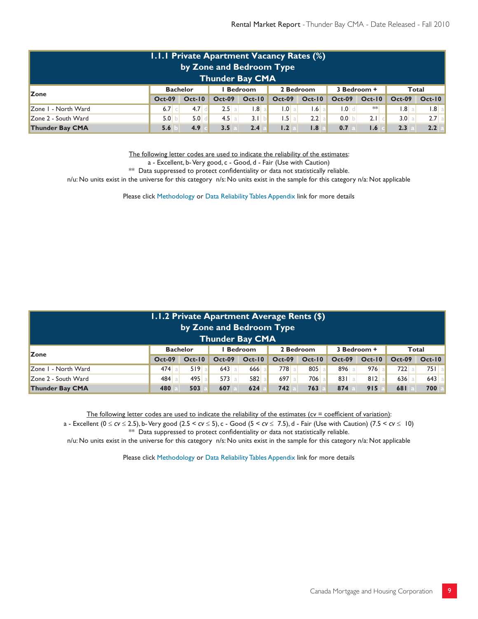|                        | <b>I.I.I Private Apartment Vacancy Rates (%)</b> |                  | by Zone and Bedroom Type<br><b>Thunder Bay CMA</b> |                |                                   |            |                |               |               |          |
|------------------------|--------------------------------------------------|------------------|----------------------------------------------------|----------------|-----------------------------------|------------|----------------|---------------|---------------|----------|
| <b>Zone</b>            | <b>Bachelor</b>                                  |                  |                                                    | <b>Bedroom</b> | 2 Bedroom                         |            | 3 Bedroom +    |               | Total         |          |
|                        | <b>Oct-09</b>                                    | $Oct-10$         | $Oct-09$                                           | $Oct-10$       | $Oct-09$                          | $Oct-10$   | <b>Oct-09</b>  | $Oct-10$      | <b>Oct-09</b> | $Oct-10$ |
| Zone I - North Ward    | $6.7$ c                                          | 4.7 <sub>°</sub> | 2.5                                                | $1.8$ al       | $\overline{0}$ .                  | 1.6<br>-al | $\blacksquare$ | $**$          | .8            | $ .8 $ a |
| Zone 2 - South Ward    | 5.0 b                                            | 5.0              | 4.5 a                                              | 3.1 b          | $\mathsf{L5}\mathsf{a}\mathsf{I}$ | $2.2$ a    | $0.0$ b        | $2.1$ $\circ$ | 3.0 a         | $2.7$ a  |
| <b>Thunder Bay CMA</b> | 5.6                                              | 4.9              | 3.5                                                | 2.4            | 1.2                               | 1.8        | 0.7            | 1.6           | 2.3           | 2.2      |

The following letter codes are used to indicate the reliability of the estimates:

a - Excellent, b- Very good, c - Good, d - Fair (Use with Caution)

 $**$  Data suppressed to protect confidentiality or data not statistically reliable.

n/u: No units exist in the universe for this category n/s: No units exist in the sample for this category n/a: Not applicable

Please click Methodology or Data Reliability Tables Appendix link for more details

|                                                                                                     | 1.1.2 Private Apartment Average Rents (\$)<br>by Zone and Bedroom Type<br><b>Thunder Bay CMA</b> |          |                |          |               |          |               |          |               |          |  |  |  |
|-----------------------------------------------------------------------------------------------------|--------------------------------------------------------------------------------------------------|----------|----------------|----------|---------------|----------|---------------|----------|---------------|----------|--|--|--|
| <b>Zone</b>                                                                                         | <b>Bachelor</b>                                                                                  |          | <b>Bedroom</b> |          | 2 Bedroom     |          | 3 Bedroom +   |          | Total         |          |  |  |  |
|                                                                                                     | $Oct-09$                                                                                         | $Oct-10$ | <b>Oct-09</b>  | $Oct-10$ | <b>Oct-09</b> | $Oct-10$ | <b>Oct-09</b> | $Oct-10$ | <b>Oct-09</b> | $Oct-I0$ |  |  |  |
| Zone I - North Ward                                                                                 | $474$ all                                                                                        | 519a     | $643$ a        | 666 al   | 778           | 805 al   | 896 a         | $976$ a  | $722$ a       | $751$ a  |  |  |  |
| Zone 2 - South Ward                                                                                 | 484 a                                                                                            | $495$ a  | $573$ a        | 582 al   | 697 a         | 706 al   | 831a          | 812a     | $636$ a       | $643$ a  |  |  |  |
| 700<br><b>Thunder Bay CMA</b><br>503<br>607<br>742<br>763<br>874<br>915<br>624<br>681<br>480<br>\a¦ |                                                                                                  |          |                |          |               |          |               |          |               |          |  |  |  |

The following letter codes are used to indicate the reliability of the estimates ( $cv = coefficient$  of variation):

a - Excellent ( $0 \le c$ v  $\le$  2.5), b- Very good (2.5 <  $c$ v  $\le$  5), c - Good (5 <  $c$ v  $\le$  7.5), d - Fair (Use with Caution) (7.5 <  $c$ v  $\le$  10) \*\* Data suppressed to protect confidentiality or data not statistically reliable.

n/u: No units exist in the universe for this category n/s: No units exist in the sample for this category n/a: Not applicable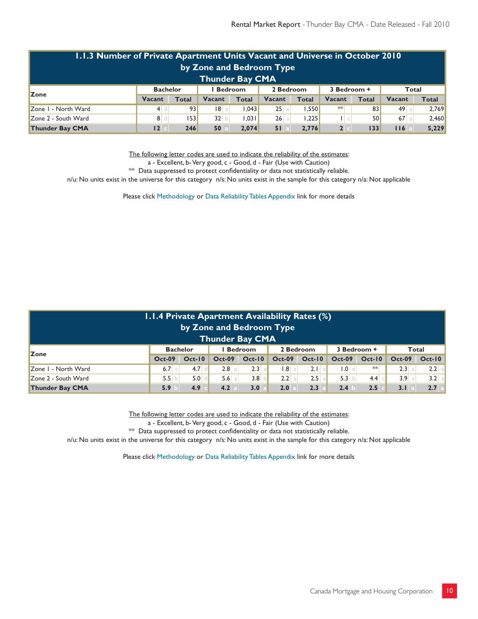| 1.1.3 Number of Private Apartment Units Vacant and Universe in October 2010 |                 |              |                |              |           |              |                |              |        |       |  |  |  |
|-----------------------------------------------------------------------------|-----------------|--------------|----------------|--------------|-----------|--------------|----------------|--------------|--------|-------|--|--|--|
| by Zone and Bedroom Type                                                    |                 |              |                |              |           |              |                |              |        |       |  |  |  |
| <b>Thunder Bay CMA</b>                                                      |                 |              |                |              |           |              |                |              |        |       |  |  |  |
| <b>Zone</b>                                                                 | <b>Bachelor</b> |              | <b>Bedroom</b> |              | 2 Bedroom |              | 3 Bedroom +    |              | Total  |       |  |  |  |
|                                                                             | Vacant          | <b>Total</b> | <b>Vacant</b>  | <b>Total</b> | Vacant    | <b>Total</b> | Vacant         | <b>Total</b> | Vacant | Total |  |  |  |
| Zone I - North Ward                                                         | 4               | 93           | 18 a           | .043         | $25$ a    | 1.550        | $**$           | 83           | 49a    | 2,769 |  |  |  |
| Zone 2 - South Ward                                                         | 8d              | 153          | 32 b           | 1.031        | $26$ a    | 1.225        | $\Box$         | <b>50</b>    | $67$ a | 2,460 |  |  |  |
| <b>Thunder Bay CMA</b>                                                      | 12.             | 246          | 50             | 2.074        | 51        | 2.776        | 2 <sub>1</sub> | 133          | 116    | 5,229 |  |  |  |

The following letter codes are used to indicate the reliability of the estimates:

a - Excellent, b- Very good, c - Good, d - Fair (Use with Caution)

 $**$  Data suppressed to protect confidentiality or data not statistically reliable.

n/u: No units exist in the universe for this category n/s: No units exist in the sample for this category n/a: Not applicable

Please click Methodology or Data Reliability Tables Appendix link for more details

|                                                                                                    | <b>1.1.4 Private Apartment Availability Rates (%)</b><br>by Zone and Bedroom Type<br><b>Thunder Bay CMA</b> |                  |                |          |           |           |                |          |               |          |  |  |  |
|----------------------------------------------------------------------------------------------------|-------------------------------------------------------------------------------------------------------------|------------------|----------------|----------|-----------|-----------|----------------|----------|---------------|----------|--|--|--|
| Zone                                                                                               | <b>Bachelor</b>                                                                                             |                  | <b>Bedroom</b> |          | 2 Bedroom |           | 3 Bedroom +    |          | Total         |          |  |  |  |
|                                                                                                    | <b>Oct-09</b>                                                                                               | $Oct-10$         | <b>Oct-09</b>  | $Oct-10$ | $Oct-09$  | $Oct-10$  | <b>Oct-09</b>  | $Oct-10$ | <b>Oct-09</b> | $Oct-10$ |  |  |  |
| Zone I - North Ward                                                                                | 6.7 c                                                                                                       | $4.7$ d          | 2.8 a          | 2.3 a    | .8        | $2.1$ a   | $\blacksquare$ | $**$     | 2.3 a         | $2.2$ a  |  |  |  |
| Zone 2 - South Ward                                                                                | 5.5 b                                                                                                       | 5.0 <sub>1</sub> | 5.6 a          | 3.8 b    | 2.2 a     | $2.5$ all | 5.3 b          | 4.4      | 3.9 a         | 3.2 a    |  |  |  |
| <b>Thunder Bay CMA</b><br>2.7<br>4.2<br>3.0<br>2.3<br>2.5<br>5.9<br>4.9<br>2.0<br>3.1<br>2.4<br> a |                                                                                                             |                  |                |          |           |           |                |          |               |          |  |  |  |

The following letter codes are used to indicate the reliability of the estimates:

a - Excellent, b- Very good, c - Good, d - Fair (Use with Caution)

\*\* Data suppressed to protect confidentiality or data not statistically reliable.

n/u: No units exist in the universe for this category n/s: No units exist in the sample for this category n/a: Not applicable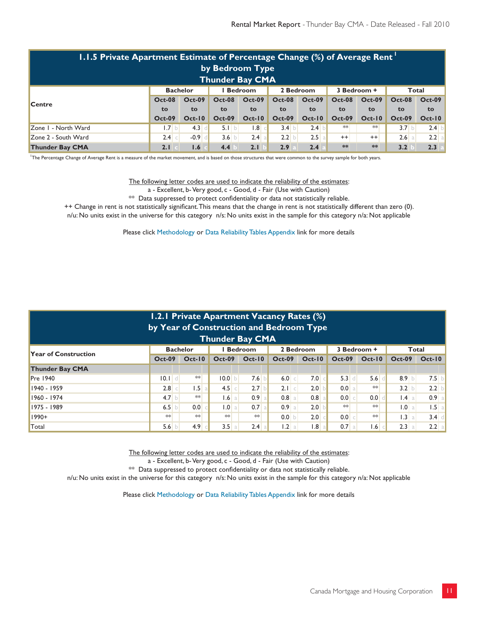|                                                                        | 1.1.5 Private Apartment Estimate of Percentage Change $\overline{(*)}$ of Average Rent $'$<br>by Bedroom Type<br><b>Thunder Bay CMA</b> |               |               |               |               |               |               |               |                  |                     |  |  |  |  |
|------------------------------------------------------------------------|-----------------------------------------------------------------------------------------------------------------------------------------|---------------|---------------|---------------|---------------|---------------|---------------|---------------|------------------|---------------------|--|--|--|--|
| 3 Bedroom +<br><b>Bachelor</b><br>2 Bedroom<br><b>Bedroom</b><br>Total |                                                                                                                                         |               |               |               |               |               |               |               |                  |                     |  |  |  |  |
| <b>Centre</b>                                                          | <b>Oct-08</b>                                                                                                                           | <b>Oct-09</b> | <b>Oct-08</b> | $Oct-09$      | <b>Oct-08</b> | $Oct-09$      | <b>Oct-08</b> | <b>Oct-09</b> | <b>Oct-08</b>    | $Oct-09$            |  |  |  |  |
|                                                                        | to                                                                                                                                      | to.           | to            | to            | to.           | to            | to            | to            | to               | to                  |  |  |  |  |
|                                                                        | <b>Oct-09</b>                                                                                                                           | <b>Oct-10</b> | <b>Oct-09</b> | <b>Oct-10</b> | <b>Oct-09</b> | <b>Oct-10</b> | <b>Oct-09</b> | $Oct-10$      | <b>Oct-09</b>    | $Oct-10$            |  |  |  |  |
| Zone I - North Ward                                                    | 1.7 b                                                                                                                                   | $4.3$ d       | 5.1 b         | .8            | 3.4 b         | $2.4$ b       | $**$          | **            | 3.7 <sub>b</sub> | 2.4<br>$\mathbf{b}$ |  |  |  |  |
| Zone 2 - South Ward                                                    | $2.4$ c                                                                                                                                 | $-0.9$ d      | 3.6 b         | $2.4$ a       | 2.2 b         | $2.5$ a       | $++$          | $^{++}$       | $2.6$ a          | $2.2$ a             |  |  |  |  |
| <b>Thunder Bay CMA</b>                                                 | 2.1                                                                                                                                     | 1.6           | 4.4           | 2.1           | 2.9           | 2.4           | **            | **            | 3.2              | 2.3                 |  |  |  |  |

1 The Percentage Change of Average Rent is a measure of the market movement, and is based on those structures that were common to the survey sample for both years.

The following letter codes are used to indicate the reliability of the estimates:

a - Excellent, b- Very good, c - Good, d - Fair (Use with Caution)

\*\* Data suppressed to protect confidentiality or data not statistically reliable.

++ Change in rent is not statistically significant. This means that the change in rent is not statistically different than zero (0). n/u: No units exist in the universe for this category n/s: No units exist in the sample for this category n/a: Not applicable

Please click Methodology or Data Reliability Tables Appendix link for more details

|                                                                                                       | 1.2.1 Private Apartment Vacancy Rates (%)<br>by Year of Construction and Bedroom Type |                  |               |                  |                  |               |               |                  |               |          |  |  |  |  |
|-------------------------------------------------------------------------------------------------------|---------------------------------------------------------------------------------------|------------------|---------------|------------------|------------------|---------------|---------------|------------------|---------------|----------|--|--|--|--|
| Thunder Bay CMA                                                                                       |                                                                                       |                  |               |                  |                  |               |               |                  |               |          |  |  |  |  |
| <b>Bedroom</b><br>3 Bedroom +<br><b>Bachelor</b><br>2 Bedroom<br>Total<br><b>Year of Construction</b> |                                                                                       |                  |               |                  |                  |               |               |                  |               |          |  |  |  |  |
|                                                                                                       | <b>Oct-09</b>                                                                         | $Oct-10$         | $Oct-09$      | $Oct-10$         |                  | Oct-09 Oct-10 | <b>Oct-09</b> | $Oct-10$         | <b>Oct-09</b> | $Oct-10$ |  |  |  |  |
| <b>Thunder Bay CMA</b>                                                                                |                                                                                       |                  |               |                  |                  |               |               |                  |               |          |  |  |  |  |
| <b>Pre 1940</b>                                                                                       | $\begin{bmatrix} 0.1 & d \end{bmatrix}$                                               | $**$             | 10.0          | 7.6              | 6.0 c            | 7.0           | $5.3$ d       | 5.6              | 8.9 b         | $7.5$ b  |  |  |  |  |
| 1940 - 1959                                                                                           | $2.8$ c                                                                               | $1.5$ a          | $4.5$ $\circ$ | 2.7              | $2.1$ $\circ$    | 2.0           | 0.0 a         | $**$             | 3.2 b         | $2.2$ b  |  |  |  |  |
| 1960 - 1974                                                                                           | 4.7 b                                                                                 | $**$             | $1.6$ a       | 0.9 <sub>a</sub> | $0.8$ a          | $0.8$ a       | 0.0 c         | 0.0 <sub>1</sub> | 1.4 a         | $0.9$ a  |  |  |  |  |
| 1975 - 1989                                                                                           | 6.5 b                                                                                 | 0.0 <sub>1</sub> | 1.0 a         | 0.7 <sub>a</sub> | 0.9 a            | 2.0           | $**$          | $**$             | 1.0 a         | $1.5$ a  |  |  |  |  |
| $1990+$                                                                                               | **                                                                                    | **               | $**$          | $**$             | 0.0 <sub>1</sub> | 2.0           | 0.0 c         | $**$             | 1.3 a         | $3.4$ d  |  |  |  |  |
| Total                                                                                                 | 5.6 b                                                                                 | 4.9              | 3.5<br>a      | $2.4$ a          | 1.2 a            | $1.8$ a       | $0.7$ a       | 1.6              | 2.3 a         | $2.2$ a  |  |  |  |  |

The following letter codes are used to indicate the reliability of the estimates:

a - Excellent, b- Very good, c - Good, d - Fair (Use with Caution)

\*\* Data suppressed to protect confidentiality or data not statistically reliable.

n/u: No units exist in the universe for this category n/s: No units exist in the sample for this category n/a: Not applicable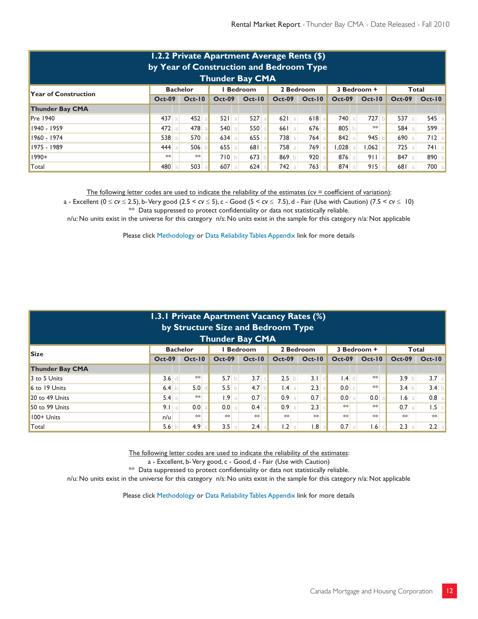|                                                                                                       | 1.2.2 Private Apartment Average Rents (\$)<br>by Year of Construction and Bedroom Type<br>Thunder Bay CMA |               |               |               |               |          |               |          |               |            |  |  |  |
|-------------------------------------------------------------------------------------------------------|-----------------------------------------------------------------------------------------------------------|---------------|---------------|---------------|---------------|----------|---------------|----------|---------------|------------|--|--|--|
| <b>Bedroom</b><br>2 Bedroom<br>3 Bedroom +<br><b>Bachelor</b><br>Total<br><b>Year of Construction</b> |                                                                                                           |               |               |               |               |          |               |          |               |            |  |  |  |
|                                                                                                       | <b>Oct-09</b>                                                                                             | <b>Oct-10</b> | <b>Oct-09</b> | <b>Oct-10</b> | <b>Oct-09</b> | $Oct-10$ | <b>Oct-09</b> | $Oct-10$ | <b>Oct-09</b> | $Oct-10$   |  |  |  |
| <b>Thunder Bay CMA</b>                                                                                |                                                                                                           |               |               |               |               |          |               |          |               |            |  |  |  |
| <b>Pre 1940</b>                                                                                       | $437$ a                                                                                                   | $452$ a       | 521a          | 527           | $621$ a       | 618      | 740a          | 727 b    | $537$ a       | 545<br>-al |  |  |  |
| 1940 - 1959                                                                                           | $472$ a                                                                                                   | 478           | 540a          | 550           | 661a          | 676      | 805           | $**$     | $584$ a       | 599        |  |  |  |
| 1960 - 1974                                                                                           | 538 a                                                                                                     | 570 a         | $634$ a       | 655           | 738 a         | 764      | 842           | 945      | 690a          | 712        |  |  |  |
| 1975 - 1989                                                                                           | 444 a                                                                                                     | 506           | $655$ a       | 681           | 758 a         | 769      | 1,028         | $.062$ a | $725$ a       | $741$ a    |  |  |  |
| $1990+$                                                                                               | $*$                                                                                                       | $**$          | 710 b         | 673           | 869 b         | 920      | 876 a         | 911a     | 847 a         | 890        |  |  |  |
| Total                                                                                                 | 480                                                                                                       | 503           | $607$ a       | 624           | 742           | 763      | $874$ a       | 915a     | 681a          | 700 a      |  |  |  |

The following letter codes are used to indicate the reliability of the estimates ( $cv =$  coefficient of variation):

a - Excellent (0 ≤ *cv* ≤ 2.5), b- Very good (2.5 < *cv* ≤ 5), c - Good (5 < *cv* ≤ 7.5), d - Fair (Use with Caution) (7.5 < *cv* ≤ 10) \*\* Data suppressed to protect confidentiality or data not statistically reliable.

n/u: No units exist in the universe for this category n/s: No units exist in the sample for this category n/a: Not applicable

Please click Methodology or Data Reliability Tables Appendix link for more details

|                                                                                       | <b>1.3.1 Private Apartment Vacancy Rates (%)</b><br>by Structure Size and Bedroom Type |                  |                    |          |                  |               |               |                  |               |               |  |  |  |  |
|---------------------------------------------------------------------------------------|----------------------------------------------------------------------------------------|------------------|--------------------|----------|------------------|---------------|---------------|------------------|---------------|---------------|--|--|--|--|
| <b>Thunder Bay CMA</b>                                                                |                                                                                        |                  |                    |          |                  |               |               |                  |               |               |  |  |  |  |
| <b>Bedroom</b><br>2 Bedroom<br><b>Bachelor</b><br>3 Bedroom +<br>Total<br><b>Size</b> |                                                                                        |                  |                    |          |                  |               |               |                  |               |               |  |  |  |  |
|                                                                                       | <b>Oct-09</b>                                                                          | $Oct-10$         | $Oct-09$           | $Oct-10$ | $Oct-09$         | <b>Oct-10</b> | <b>Oct-09</b> | <b>Oct-10</b>    | <b>Oct-09</b> | $Oct-10$      |  |  |  |  |
| <b>Thunder Bay CMA</b>                                                                |                                                                                        |                  |                    |          |                  |               |               |                  |               |               |  |  |  |  |
| 3 to 5 Units                                                                          | $3.6$ d                                                                                | $\ast\ast$       | 5.7 b              | 3.7      | 2.5 b            | 3.1<br>-dl    | $1.4$ d       | $**$             | 3.9 b         | $3.7$ $\circ$ |  |  |  |  |
| 6 to 19 Units                                                                         | $6.4$ b                                                                                | 5.0              | 5.5<br>$\mathbf b$ | 4.7      | 1.4 a            | 2.3           | 0.0 c         | $**$             | 3.4 b         | 3.4 b         |  |  |  |  |
| 20 to 49 Units                                                                        | 5.4 a                                                                                  | $**$             | 1.9a               | $0.7$ a  | $0.9$ a          | $0.7$ a       | 0.0 a         | 0.0 <sub>1</sub> | $1.6$ a       | $0.8$ a       |  |  |  |  |
| 50 to 99 Units                                                                        | 9.1 a                                                                                  | 0.0 <sub>1</sub> | 0.0 a              | $0.4$ a  | 0.9 <sub>a</sub> | 2.3           | $**$          | $**$             | $0.7$ a       | $1.5$ $\circ$ |  |  |  |  |
| 100+ Units                                                                            | n/u                                                                                    | $**$             | $**$               | $**$     | $**$             | $**$          | $**$          | $**$             | $**$          | $**$          |  |  |  |  |
| Total                                                                                 | 5.6 b                                                                                  | 4.9              | 3.5<br>a           | $2.4$ a  | 1.2 a            | .8            | $0.7$ a       | .6               | 2.3<br>a      | 2.2 a         |  |  |  |  |

The following letter codes are used to indicate the reliability of the estimates:

a - Excellent, b- Very good, c - Good, d - Fair (Use with Caution)

\*\* Data suppressed to protect confidentiality or data not statistically reliable.

n/u: No units exist in the universe for this category n/s: No units exist in the sample for this category n/a: Not applicable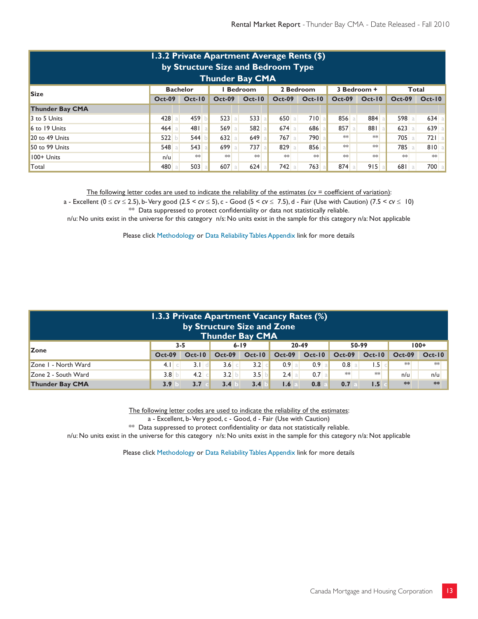|                                                                        | 1.3.2 Private Apartment Average Rents (\$)<br>by Structure Size and Bedroom Type<br><b>Thunder Bay CMA</b> |          |                 |          |          |          |               |          |               |          |  |  |  |
|------------------------------------------------------------------------|------------------------------------------------------------------------------------------------------------|----------|-----------------|----------|----------|----------|---------------|----------|---------------|----------|--|--|--|
| <b>Bedroom</b><br><b>Bachelor</b><br>2 Bedroom<br>3 Bedroom +<br>Total |                                                                                                            |          |                 |          |          |          |               |          |               |          |  |  |  |
| <b>Size</b>                                                            | $Oct-09$                                                                                                   | $Oct-10$ | <b>Oct-09</b>   | $Oct-10$ | $Oct-09$ | $Oct-10$ | <b>Oct-09</b> | $Oct-10$ | <b>Oct-09</b> | $Oct-10$ |  |  |  |
| <b>Thunder Bay CMA</b>                                                 |                                                                                                            |          |                 |          |          |          |               |          |               |          |  |  |  |
| 3 to 5 Units                                                           | 428                                                                                                        | 459      | 523<br>a        | 533      | 650a     | 710      | 856<br>a      | 884 a    | 598 a         | 634      |  |  |  |
| 6 to 19 Units                                                          | 464                                                                                                        | 481a     | 569<br>a        | 582      | $674$ a  | 686      | 857           | 881a     | $623$ a       | 639      |  |  |  |
| $20$ to 49 Units                                                       | 522                                                                                                        | 544      | $632$ a         | 649      | $767$ a  | 790      | $**$          | $**$     | 705 a         | $721$ a  |  |  |  |
| 50 to 99 Units                                                         | $548$ a                                                                                                    | 543a     | 699<br>$\alpha$ | 737      | 829 a    | 856      | $*$           | $**$     | 785 a         | 810      |  |  |  |
| $100+$ Units                                                           | n/u                                                                                                        | $**$     | $**$            | $**$     | $**$     | $**$     | $**$          | **       | $**$          | $**$     |  |  |  |
| Total                                                                  | 480                                                                                                        | 503      | $607$ a         | 624      | 742      | 763      | 874           | 915a     | 681a          | 700      |  |  |  |

The following letter codes are used to indicate the reliability of the estimates ( $cv =$  coefficient of variation):

a - Excellent (0 ≤ *cv* ≤ 2.5), b- Very good (2.5 < *cv* ≤ 5), c - Good (5 < *cv* ≤ 7.5), d - Fair (Use with Caution) (7.5 < *cv* ≤ 10) \*\* Data suppressed to protect confidentiality or data not statistically reliable.

n/u: No units exist in the universe for this category n/s: No units exist in the sample for this category n/a: Not applicable

Please click Methodology or Data Reliability Tables Appendix link for more details

| 1.3.3 Private Apartment Vacancy Rates (%)<br>by Structure Size and Zone<br><b>Thunder Bay CMA</b> |          |          |                  |          |          |          |                  |                 |               |          |  |  |
|---------------------------------------------------------------------------------------------------|----------|----------|------------------|----------|----------|----------|------------------|-----------------|---------------|----------|--|--|
| <b>Zone</b>                                                                                       | $3 - 5$  |          |                  | $6 - 19$ |          | 20-49    |                  | 50-99           |               | $100+$   |  |  |
|                                                                                                   | $Oct-09$ | $Oct-10$ | $Oct-09$         | $Oct-10$ | $Oct-09$ | $Oct-10$ | <b>Oct-09</b>    | $Oct-10$        | <b>Oct-09</b> | $Oct-10$ |  |  |
| Zone I - North Ward                                                                               | $4.1$ c  | $3.1$ d  | 3.6 <sub>1</sub> | $3.2$ c  | $0.9$ a  | $0.9$ a  | 0.8 <sup>1</sup> | .5 <sub>1</sub> | $**$          | $**$     |  |  |
| Zone 2 - South Ward                                                                               | $3.8$ b  | 4.2      | 3.2 b            | 3.5 b    | 2.4 a    | $0.7$ a  | $**$             | $**$            | n/u           | n/u      |  |  |
| $**$<br>**<br><b>Thunder Bay CMA</b><br>0.8<br>1.5<br>3.7<br>1.6<br>3.4<br>0.7<br>3.4<br>3.9      |          |          |                  |          |          |          |                  |                 |               |          |  |  |

The following letter codes are used to indicate the reliability of the estimates:

a - Excellent, b- Very good, c - Good, d - Fair (Use with Caution)

 $**$  Data suppressed to protect confidentiality or data not statistically reliable.

n/u: No units exist in the universe for this category n/s: No units exist in the sample for this category n/a: Not applicable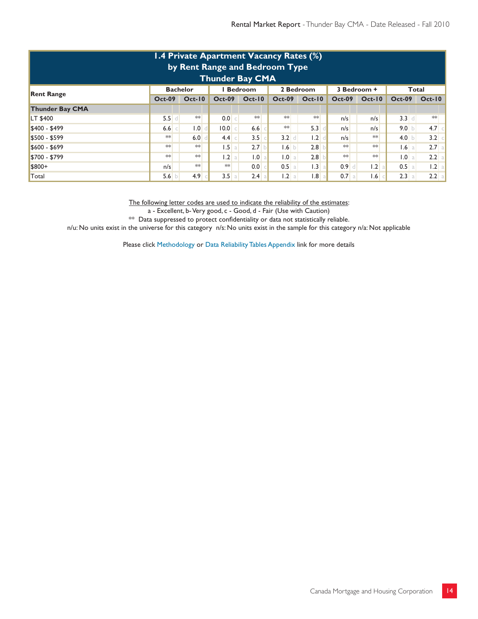| 1.4 Private Apartment Vacancy Rates (%)<br>by Rent Range and Bedroom Type<br><b>Thunder Bay CMA</b> |                 |  |               |               |                           |       |  |               |  |          |               |               |               |  |                  |
|-----------------------------------------------------------------------------------------------------|-----------------|--|---------------|---------------|---------------------------|-------|--|---------------|--|----------|---------------|---------------|---------------|--|------------------|
| <b>Rent Range</b>                                                                                   | <b>Bachelor</b> |  |               |               | <b>Bedroom</b>            |       |  | 2 Bedroom     |  |          | 3 Bedroom +   |               | Total         |  |                  |
|                                                                                                     | <b>Oct-09</b>   |  | <b>Oct-10</b> |               | $Oct-10$<br><b>Oct-09</b> |       |  | <b>Oct-09</b> |  | $Oct-10$ | <b>Oct-09</b> | <b>Oct-10</b> | <b>Oct-09</b> |  | $Oct-10$         |
| <b>Thunder Bay CMA</b>                                                                              |                 |  |               |               |                           |       |  |               |  |          |               |               |               |  |                  |
| <b>LT \$400</b>                                                                                     | $5.5$ d         |  | $**$          | 0.0 c         |                           | $**$  |  | $**$          |  | $**$     | n/s           | n/s           | $3.3$ d       |  | $**$             |
| $$400 - $499$                                                                                       | $6.6$ $\circ$   |  | 0.1           | 0.0           |                           | 6.6   |  | $**$          |  | 5.3      | n/s           | n/s           | 9.0 b         |  | 4.7              |
| \$500 - \$599                                                                                       | $**$            |  | 6.0           | $4.4$ $\circ$ |                           | 3.5   |  | 3.2           |  | .2       | n/s           | $**$          | 4.0 $\vert$   |  | 3.2<br>$\subset$ |
| $$600 - $699$                                                                                       | $**$            |  | $**$          |               | 1.5 a                     | 2.7   |  | 1.6 b         |  | 2.8      | $**$          | $**$          | $1.6$ a       |  | $2.7$ a          |
| \$700 - \$799                                                                                       | $**$            |  | $**$          |               | 1.2 a                     | 1.0   |  | 1.0 a         |  | 2.8      | $**$          | $**$          | 1.0 a         |  | 2.2<br>-al       |
| \$800+                                                                                              | n/s             |  | $**$          | $**$          |                           | 0.0   |  | $0.5$ a       |  | 1.3<br>a | $0.9$ d       | 1.2 a         | 0.5 a         |  | 1.2 a            |
| Total                                                                                               | 5.6 b           |  | 4.9           | 3.5           | a                         | 2.4 a |  | 1.2 a         |  | 1.8<br>a | $0.7$ a       | 1.6           | 2.3 a         |  | $2.2$ a          |

The following letter codes are used to indicate the reliability of the estimates:

a - Excellent, b- Very good, c - Good, d - Fair (Use with Caution)

\*\* Data suppressed to protect confidentiality or data not statistically reliable.

n/u: No units exist in the universe for this category n/s: No units exist in the sample for this category n/a: Not applicable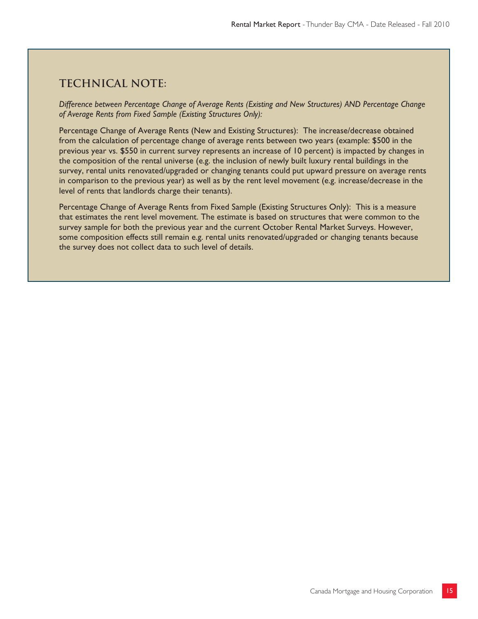# **Technical note:**

*Difference between Percentage Change of Average Rents (Existing and New Structures) AND Percentage Change of Average Rents from Fixed Sample (Existing Structures Only):*

Percentage Change of Average Rents (New and Existing Structures): The increase/decrease obtained from the calculation of percentage change of average rents between two years (example: \$500 in the previous year vs. \$550 in current survey represents an increase of 10 percent) is impacted by changes in the composition of the rental universe (e.g. the inclusion of newly built luxury rental buildings in the survey, rental units renovated/upgraded or changing tenants could put upward pressure on average rents in comparison to the previous year) as well as by the rent level movement (e.g. increase/decrease in the level of rents that landlords charge their tenants).

Percentage Change of Average Rents from Fixed Sample (Existing Structures Only): This is a measure that estimates the rent level movement. The estimate is based on structures that were common to the survey sample for both the previous year and the current October Rental Market Surveys. However, some composition effects still remain e.g. rental units renovated/upgraded or changing tenants because the survey does not collect data to such level of details.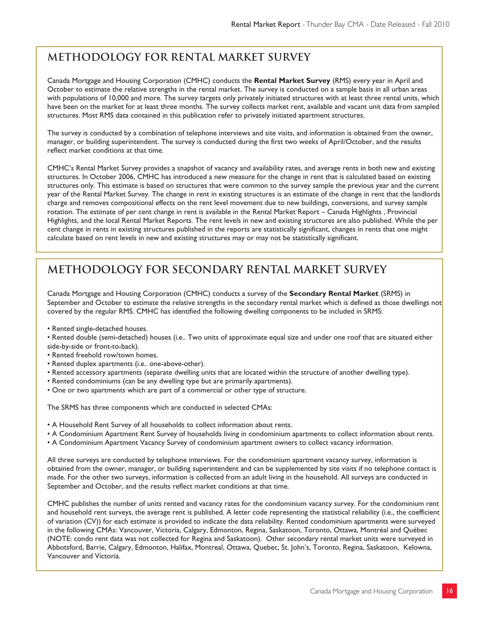# **METHODOLOGY FOR RENTAL MARKET SURVEY**

Canada Mortgage and Housing Corporation (CMHC) conducts the **Rental Market Survey** (RMS) every year in April and October to estimate the relative strengths in the rental market. The survey is conducted on a sample basis in all urban areas with populations of 10,000 and more. The survey targets only privately initiated structures with at least three rental units, which have been on the market for at least three months. The survey collects market rent, available and vacant unit data from sampled structures. Most RMS data contained in this publication refer to privately initiated apartment structures.

The survey is conducted by a combination of telephone interviews and site visits, and information is obtained from the owner, manager, or building superintendent. The survey is conducted during the first two weeks of April/October, and the results reflect market conditions at that time.

CMHC's Rental Market Survey provides a snapshot of vacancy and availability rates, and average rents in both new and existing structures. In October 2006, CMHC has introduced a new measure for the change in rent that is calculated based on existing structures only. This estimate is based on structures that were common to the survey sample the previous year and the current year of the Rental Market Survey. The change in rent in existing structures is an estimate of the change in rent that the landlords charge and removes compositional effects on the rent level movement due to new buildings, conversions, and survey sample rotation. The estimate of per cent change in rent is available in the Rental Market Report – Canada Highlights , Provincial Highlights, and the local Rental Market Reports. The rent levels in new and existing structures are also published. While the per cent change in rents in existing structures published in the reports are statistically significant, changes in rents that one might calculate based on rent levels in new and existing structures may or may not be statistically significant.

# **METHODOLOGY FOR SECONDARY RENTAL MARKET SURVEY**

Canada Mortgage and Housing Corporation (CMHC) conducts a survey of the **Secondary Rental Market** (SRMS) in September and October to estimate the relative strengths in the secondary rental market which is defined as those dwellings not covered by the regular RMS. CMHC has identified the following dwelling components to be included in SRMS:

- Rented single-detached houses.
- Rented double (semi-detached) houses (i.e.. Two units of approximate equal size and under one roof that are situated either side-by-side or front-to-back).
- Rented freehold row/town homes.
- Rented duplex apartments (i.e.. one-above-other).
- Rented accessory apartments (separate dwelling units that are located within the structure of another dwelling type).
- Rented condominiums (can be any dwelling type but are primarily apartments).
- One or two apartments which are part of a commercial or other type of structure.

The SRMS has three components which are conducted in selected CMAs:

- A Household Rent Survey of all households to collect information about rents.
- A Condominium Apartment Rent Survey of households living in condominium apartments to collect information about rents.
- A Condominium Apartment Vacancy Survey of condominium apartment owners to collect vacancy information.

All three surveys are conducted by telephone interviews. For the condominium apartment vacancy survey, information is obtained from the owner, manager, or building superintendent and can be supplemented by site visits if no telephone contact is made. For the other two surveys, information is collected from an adult living in the household. All surveys are conducted in September and October, and the results reflect market conditions at that time.

CMHC publishes the number of units rented and vacancy rates for the condominium vacancy survey. For the condominium rent and household rent surveys, the average rent is published. A letter code representing the statistical reliability (i.e., the coefficient of variation (CV)) for each estimate is provided to indicate the data reliability. Rented condominium apartments were surveyed in the following CMAs: Vancouver, Victoria, Calgary, Edmonton, Regina, Saskatoon, Toronto, Ottawa, Montréal and Québec (NOTE: condo rent data was not collected for Regina and Saskatoon). Other secondary rental market units were surveyed in Abbotsford, Barrie, Calgary, Edmonton, Halifax, Montreal, Ottawa, Quebec, St. John's, Toronto, Regina, Saskatoon, Kelowna, Vancouver and Victoria.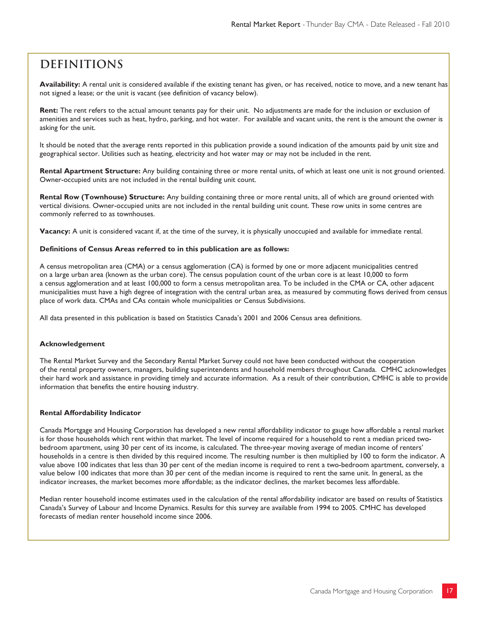# **Definitions**

**Availability:** A rental unit is considered available if the existing tenant has given, or has received, notice to move, and a new tenant has not signed a lease; or the unit is vacant (see definition of vacancy below).

**Rent:** The rent refers to the actual amount tenants pay for their unit. No adjustments are made for the inclusion or exclusion of amenities and services such as heat, hydro, parking, and hot water. For available and vacant units, the rent is the amount the owner is asking for the unit.

It should be noted that the average rents reported in this publication provide a sound indication of the amounts paid by unit size and geographical sector. Utilities such as heating, electricity and hot water may or may not be included in the rent.

**Rental Apartment Structure:** Any building containing three or more rental units, of which at least one unit is not ground oriented. Owner-occupied units are not included in the rental building unit count.

**Rental Row (Townhouse) Structure:** Any building containing three or more rental units, all of which are ground oriented with vertical divisions. Owner-occupied units are not included in the rental building unit count. These row units in some centres are commonly referred to as townhouses.

**Vacancy:** A unit is considered vacant if, at the time of the survey, it is physically unoccupied and available for immediate rental.

#### **Definitions of Census Areas referred to in this publication are as follows:**

A census metropolitan area (CMA) or a census agglomeration (CA) is formed by one or more adjacent municipalities centred on a large urban area (known as the urban core). The census population count of the urban core is at least 10,000 to form a census agglomeration and at least 100,000 to form a census metropolitan area. To be included in the CMA or CA, other adjacent municipalities must have a high degree of integration with the central urban area, as measured by commuting flows derived from census place of work data. CMAs and CAs contain whole municipalities or Census Subdivisions.

All data presented in this publication is based on Statistics Canada's 2001 and 2006 Census area definitions.

#### **Acknowledgement**

The Rental Market Survey and the Secondary Rental Market Survey could not have been conducted without the cooperation of the rental property owners, managers, building superintendents and household members throughout Canada. CMHC acknowledges their hard work and assistance in providing timely and accurate information. As a result of their contribution, CMHC is able to provide information that benefits the entire housing industry.

#### **Rental Affordability Indicator**

Canada Mortgage and Housing Corporation has developed a new rental affordability indicator to gauge how affordable a rental market is for those households which rent within that market. The level of income required for a household to rent a median priced twobedroom apartment, using 30 per cent of its income, is calculated. The three-year moving average of median income of renters' households in a centre is then divided by this required income. The resulting number is then multiplied by 100 to form the indicator. A value above 100 indicates that less than 30 per cent of the median income is required to rent a two-bedroom apartment, conversely, a value below 100 indicates that more than 30 per cent of the median income is required to rent the same unit. In general, as the indicator increases, the market becomes more affordable; as the indicator declines, the market becomes less affordable.

Median renter household income estimates used in the calculation of the rental affordability indicator are based on results of Statistics Canada's Survey of Labour and Income Dynamics. Results for this survey are available from 1994 to 2005. CMHC has developed forecasts of median renter household income since 2006.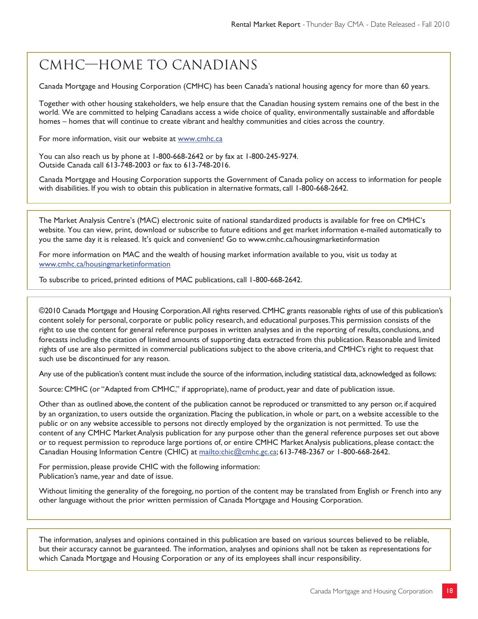# CMHC—Home to Canadians

Canada Mortgage and Housing Corporation (CMHC) has been Canada's national housing agency for more than 60 years.

Together with other housing stakeholders, we help ensure that the Canadian housing system remains one of the best in the world. We are committed to helping Canadians access a wide choice of quality, environmentally sustainable and affordable homes – homes that will continue to create vibrant and healthy communities and cities across the country.

For more information, visit our website at www.cmhc.ca

You can also reach us by phone at 1-800-668-2642 or by fax at 1-800-245-9274. Outside Canada call 613-748-2003 or fax to 613-748-2016.

Canada Mortgage and Housing Corporation supports the Government of Canada policy on access to information for people with disabilities. If you wish to obtain this publication in alternative formats, call 1-800-668-2642.

The Market Analysis Centre's (MAC) electronic suite of national standardized products is available for free on CMHC's website. You can view, print, download or subscribe to future editions and get market information e-mailed automatically to you the same day it is released. It's quick and convenient! Go to www.cmhc.ca/housingmarketinformation

For more information on MAC and the wealth of housing market information available to you, visit us today at www.cmhc.ca/housingmarketinformation

To subscribe to priced, printed editions of MAC publications, call 1-800-668-2642.

©2010 Canada Mortgage and Housing Corporation. All rights reserved. CMHC grants reasonable rights of use of this publication's content solely for personal, corporate or public policy research, and educational purposes. This permission consists of the right to use the content for general reference purposes in written analyses and in the reporting of results, conclusions, and forecasts including the citation of limited amounts of supporting data extracted from this publication. Reasonable and limited rights of use are also permitted in commercial publications subject to the above criteria, and CMHC's right to request that such use be discontinued for any reason.

Any use of the publication's content must include the source of the information, including statistical data, acknowledged as follows:

Source: CMHC (or "Adapted from CMHC," if appropriate), name of product, year and date of publication issue.

Other than as outlined above, the content of the publication cannot be reproduced or transmitted to any person or, if acquired by an organization, to users outside the organization. Placing the publication, in whole or part, on a website accessible to the public or on any website accessible to persons not directly employed by the organization is not permitted. To use the content of any CMHC Market Analysis publication for any purpose other than the general reference purposes set out above or to request permission to reproduce large portions of, or entire CMHC Market Analysis publications, please contact: the Canadian Housing Information Centre (CHIC) at mailto:chic@cmhc.gc.ca; 613-748-2367 or 1-800-668-2642.

For permission, please provide CHIC with the following information: Publication's name, year and date of issue.

Without limiting the generality of the foregoing, no portion of the content may be translated from English or French into any other language without the prior written permission of Canada Mortgage and Housing Corporation.

The information, analyses and opinions contained in this publication are based on various sources believed to be reliable, but their accuracy cannot be guaranteed. The information, analyses and opinions shall not be taken as representations for which Canada Mortgage and Housing Corporation or any of its employees shall incur responsibility.